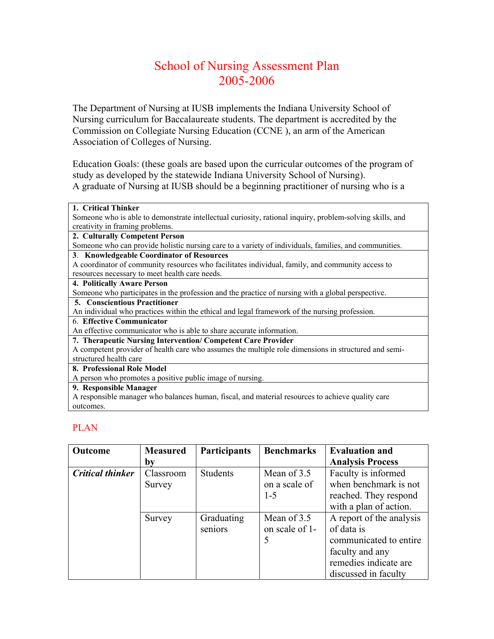# School of Nursing Assessment Plan 2005-2006

The Department of Nursing at IUSB implements the Indiana University School of Nursing curriculum for Baccalaureate students. The department is accredited by the Commission on Collegiate Nursing Education (CCNE ), an arm of the American Association of Colleges of Nursing.

Education Goals: (these goals are based upon the curricular outcomes of the program of study as developed by the statewide Indiana University School of Nursing). A graduate of Nursing at IUSB should be a beginning practitioner of nursing who is a

| 1. Critical Thinker                                                                                                                                                                                                             |
|---------------------------------------------------------------------------------------------------------------------------------------------------------------------------------------------------------------------------------|
| Someone who is able to demonstrate intellectual curiosity, rational inquiry, problem-solving skills, and                                                                                                                        |
| creativity in framing problems.                                                                                                                                                                                                 |
| 2. Culturally Competent Person                                                                                                                                                                                                  |
| Someone who can provide holistic nursing care to a variety of individuals, families, and communities.                                                                                                                           |
| 3. Knowledgeable Coordinator of Resources                                                                                                                                                                                       |
| A coordinator of community resources who facilitates individual, family, and community access to                                                                                                                                |
| resources necessary to meet health care needs.                                                                                                                                                                                  |
| 4. Politically Aware Person                                                                                                                                                                                                     |
| Someone who participates in the profession and the practice of nursing with a global perspective.                                                                                                                               |
| <b>5. Conscientious Practitioner</b>                                                                                                                                                                                            |
| An individual who practices within the ethical and legal framework of the nursing profession.                                                                                                                                   |
| 6. Effective Communicator                                                                                                                                                                                                       |
| An effective communicator who is able to share accurate information.                                                                                                                                                            |
| 7. Therapeutic Nursing Intervention/ Competent Care Provider                                                                                                                                                                    |
| A competent provider of health care who assumes the multiple role dimensions in structured and semi-                                                                                                                            |
| structured health care                                                                                                                                                                                                          |
| 8. Professional Role Model                                                                                                                                                                                                      |
| A person who promotes a positive public image of nursing.                                                                                                                                                                       |
| 9. Responsible Manager                                                                                                                                                                                                          |
| $\sim$ . The set of the set of the set of the set of the set of the set of the set of the set of the set of the set of the set of the set of the set of the set of the set of the set of the set of the set of the set of the s |

A responsible manager who balances human, fiscal, and material resources to achieve quality care outcomes.

# PLAN

| <b>Outcome</b>          | <b>Measured</b> | <b>Participants</b> | <b>Benchmarks</b> | <b>Evaluation and</b>    |
|-------------------------|-----------------|---------------------|-------------------|--------------------------|
|                         | bv              |                     |                   | <b>Analysis Process</b>  |
| <b>Critical thinker</b> | Classroom       | <b>Students</b>     | Mean of 3.5       | Faculty is informed      |
|                         | Survey          |                     | on a scale of     | when benchmark is not    |
|                         |                 |                     | $1 - 5$           | reached. They respond    |
|                         |                 |                     |                   | with a plan of action.   |
|                         | Survey          | Graduating          | Mean of 3.5       | A report of the analysis |
|                         |                 | seniors             | on scale of 1-    | of data is               |
|                         |                 |                     | 5                 | communicated to entire   |
|                         |                 |                     |                   | faculty and any          |
|                         |                 |                     |                   | remedies indicate are    |
|                         |                 |                     |                   | discussed in faculty     |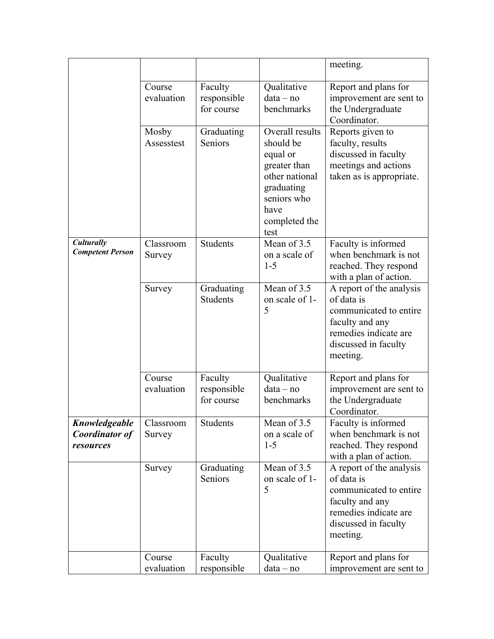|                                              |                      |                                      |                                                                                                                                                                                                                                                              | meeting.                                                                                                                                         |  |
|----------------------------------------------|----------------------|--------------------------------------|--------------------------------------------------------------------------------------------------------------------------------------------------------------------------------------------------------------------------------------------------------------|--------------------------------------------------------------------------------------------------------------------------------------------------|--|
|                                              | Course<br>evaluation | Faculty<br>responsible<br>for course | Qualitative<br>$data - no$<br>benchmarks                                                                                                                                                                                                                     | Report and plans for<br>improvement are sent to<br>the Undergraduate<br>Coordinator.                                                             |  |
|                                              | Mosby<br>Assesstest  | Graduating<br>Seniors                | Overall results<br>Reports given to<br>should be<br>faculty, results<br>discussed in faculty<br>equal or<br>meetings and actions<br>greater than<br>other national<br>taken as is appropriate.<br>graduating<br>seniors who<br>have<br>completed the<br>test |                                                                                                                                                  |  |
| Culturally<br><b>Competent Person</b>        | Classroom<br>Survey  | <b>Students</b>                      | Mean of 3.5<br>on a scale of<br>$1 - 5$                                                                                                                                                                                                                      | Faculty is informed<br>when benchmark is not<br>reached. They respond<br>with a plan of action.                                                  |  |
|                                              | Survey               | Graduating<br>Students               | Mean of 3.5<br>on scale of 1-<br>5                                                                                                                                                                                                                           | A report of the analysis<br>of data is<br>communicated to entire<br>faculty and any<br>remedies indicate are<br>discussed in faculty<br>meeting. |  |
|                                              | Course<br>evaluation |                                      | Qualitative<br>$data - no$<br>benchmarks                                                                                                                                                                                                                     | Report and plans for<br>improvement are sent to<br>the Undergraduate<br>Coordinator.                                                             |  |
| Knowledgeable<br>Coordinator of<br>resources | Classroom<br>Survey  | Students                             | Mean of 3.5<br>on a scale of<br>$1 - 5$                                                                                                                                                                                                                      | Faculty is informed<br>when benchmark is not<br>reached. They respond<br>with a plan of action.                                                  |  |
|                                              | Survey               | Graduating<br>Seniors                | Mean of 3.5<br>on scale of 1-<br>5                                                                                                                                                                                                                           | A report of the analysis<br>of data is<br>communicated to entire<br>faculty and any<br>remedies indicate are<br>discussed in faculty<br>meeting. |  |
|                                              | Course<br>evaluation | Faculty<br>responsible               | Qualitative<br>data - no                                                                                                                                                                                                                                     | Report and plans for<br>improvement are sent to                                                                                                  |  |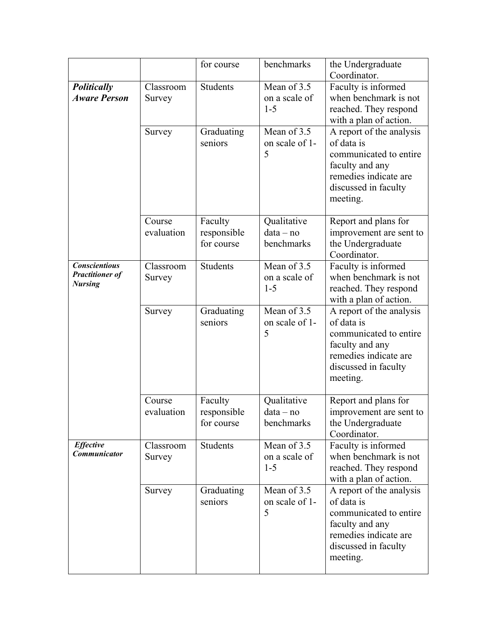|                                                                  |                      | for course                           | benchmarks                                                                                                                                                                             | the Undergraduate<br>Coordinator.                                                                                                                |
|------------------------------------------------------------------|----------------------|--------------------------------------|----------------------------------------------------------------------------------------------------------------------------------------------------------------------------------------|--------------------------------------------------------------------------------------------------------------------------------------------------|
| Politically<br><b>Aware Person</b>                               | Classroom<br>Survey  | <b>Students</b>                      | Mean of 3.5<br>on a scale of<br>$1 - 5$                                                                                                                                                | Faculty is informed<br>when benchmark is not<br>reached. They respond<br>with a plan of action.                                                  |
|                                                                  | Survey               | Graduating<br>seniors                | Mean of 3.5<br>A report of the analysis<br>on scale of 1-<br>of data is<br>5<br>communicated to entire<br>faculty and any<br>remedies indicate are<br>discussed in faculty<br>meeting. |                                                                                                                                                  |
|                                                                  | Course<br>evaluation | Faculty<br>responsible<br>for course | Qualitative<br>$data - no$<br>benchmarks                                                                                                                                               | Report and plans for<br>improvement are sent to<br>the Undergraduate<br>Coordinator.                                                             |
| <b>Conscientious</b><br><b>Practitioner of</b><br><b>Nursing</b> | Classroom<br>Survey  | Students                             | Mean of 3.5<br>on a scale of<br>$1 - 5$                                                                                                                                                | Faculty is informed<br>when benchmark is not<br>reached. They respond<br>with a plan of action.                                                  |
|                                                                  | Survey               | Graduating<br>seniors                | Mean of 3.5<br>on scale of 1-<br>5                                                                                                                                                     | A report of the analysis<br>of data is<br>communicated to entire<br>faculty and any<br>remedies indicate are<br>discussed in faculty<br>meeting. |
|                                                                  | Course<br>evaluation | Faculty<br>responsible<br>for course | Qualitative<br>data – no<br>benchmarks                                                                                                                                                 | Report and plans for<br>improvement are sent to<br>the Undergraduate<br>Coordinator.                                                             |
| <b>Effective</b><br><b>Communicator</b>                          | Classroom<br>Survey  | Students                             | Mean of 3.5<br>on a scale of<br>$1 - 5$                                                                                                                                                | Faculty is informed<br>when benchmark is not<br>reached. They respond<br>with a plan of action.                                                  |
|                                                                  | Survey               | Graduating<br>seniors                | Mean of 3.5<br>on scale of 1-<br>5                                                                                                                                                     | A report of the analysis<br>of data is<br>communicated to entire<br>faculty and any<br>remedies indicate are<br>discussed in faculty<br>meeting. |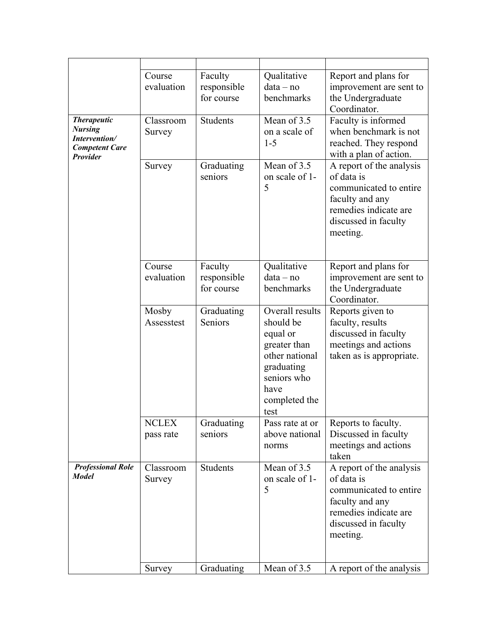|                                                                                                   | Course<br>evaluation      | Faculty<br>responsible<br>for course                                                                                                                              | Qualitative<br>$data - no$<br>benchmarks                                                                                                                                               | Report and plans for<br>improvement are sent to<br>the Undergraduate<br>Coordinator.                                                             |
|---------------------------------------------------------------------------------------------------|---------------------------|-------------------------------------------------------------------------------------------------------------------------------------------------------------------|----------------------------------------------------------------------------------------------------------------------------------------------------------------------------------------|--------------------------------------------------------------------------------------------------------------------------------------------------|
| <b>Therapeutic</b><br><b>Nursing</b><br>Intervention/<br><b>Competent Care</b><br><b>Provider</b> | Classroom<br>Survey       | <b>Students</b>                                                                                                                                                   | Mean of $3.\overline{5}$<br>on a scale of<br>$1 - 5$                                                                                                                                   | Faculty is informed<br>when benchmark is not<br>reached. They respond<br>with a plan of action.                                                  |
|                                                                                                   | Survey                    | Graduating<br>seniors                                                                                                                                             | Mean of 3.5<br>A report of the analysis<br>of data is<br>on scale of 1-<br>5<br>communicated to entire<br>faculty and any<br>remedies indicate are<br>discussed in faculty<br>meeting. |                                                                                                                                                  |
|                                                                                                   | Course<br>evaluation      | Faculty<br>responsible<br>for course                                                                                                                              | Qualitative<br>$data - no$<br>benchmarks                                                                                                                                               | Report and plans for<br>improvement are sent to<br>the Undergraduate<br>Coordinator.                                                             |
|                                                                                                   | Mosby<br>Assesstest       | Overall results<br>Graduating<br>should be<br>Seniors<br>equal or<br>greater than<br>other national<br>graduating<br>seniors who<br>have<br>completed the<br>test |                                                                                                                                                                                        | Reports given to<br>faculty, results<br>discussed in faculty<br>meetings and actions<br>taken as is appropriate.                                 |
|                                                                                                   | <b>NCLEX</b><br>pass rate | Graduating<br>seniors                                                                                                                                             | Pass rate at or<br>above national<br>norms                                                                                                                                             | Reports to faculty.<br>Discussed in faculty<br>meetings and actions<br>taken                                                                     |
| <b>Professional Role</b><br><b>Model</b>                                                          | Classroom<br>Survey       | <b>Students</b>                                                                                                                                                   | Mean of 3.5<br>on scale of 1-<br>5                                                                                                                                                     | A report of the analysis<br>of data is<br>communicated to entire<br>faculty and any<br>remedies indicate are<br>discussed in faculty<br>meeting. |
|                                                                                                   | Survey                    | Graduating                                                                                                                                                        | Mean of 3.5                                                                                                                                                                            | A report of the analysis                                                                                                                         |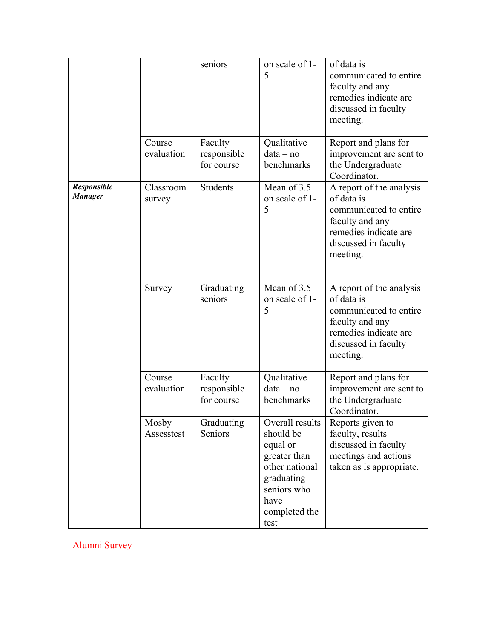|                               |                      | seniors                              | on scale of 1-<br>5                                                                                                                      | of data is<br>communicated to entire<br>faculty and any<br>remedies indicate are<br>discussed in faculty<br>meeting.                             |
|-------------------------------|----------------------|--------------------------------------|------------------------------------------------------------------------------------------------------------------------------------------|--------------------------------------------------------------------------------------------------------------------------------------------------|
|                               | Course<br>evaluation | Faculty<br>responsible<br>for course | Qualitative<br>$data - no$<br>benchmarks                                                                                                 | Report and plans for<br>improvement are sent to<br>the Undergraduate<br>Coordinator.                                                             |
| Responsible<br><b>Manager</b> | Classroom<br>survey  | <b>Students</b>                      | Mean of 3.5<br>on scale of 1-<br>5                                                                                                       | A report of the analysis<br>of data is<br>communicated to entire<br>faculty and any<br>remedies indicate are<br>discussed in faculty<br>meeting. |
|                               | Survey               | Graduating<br>seniors                | Mean of 3.5<br>on scale of 1-<br>5                                                                                                       | A report of the analysis<br>of data is<br>communicated to entire<br>faculty and any<br>remedies indicate are<br>discussed in faculty<br>meeting. |
|                               | Course<br>evaluation | Faculty<br>responsible<br>for course | Qualitative<br>$data - no$<br>benchmarks                                                                                                 | Report and plans for<br>improvement are sent to<br>the Undergraduate<br>Coordinator.                                                             |
|                               | Mosby<br>Assesstest  | Graduating<br>Seniors                | Overall results<br>should be<br>equal or<br>greater than<br>other national<br>graduating<br>seniors who<br>have<br>completed the<br>test | Reports given to<br>faculty, results<br>discussed in faculty<br>meetings and actions<br>taken as is appropriate.                                 |

Alumni Survey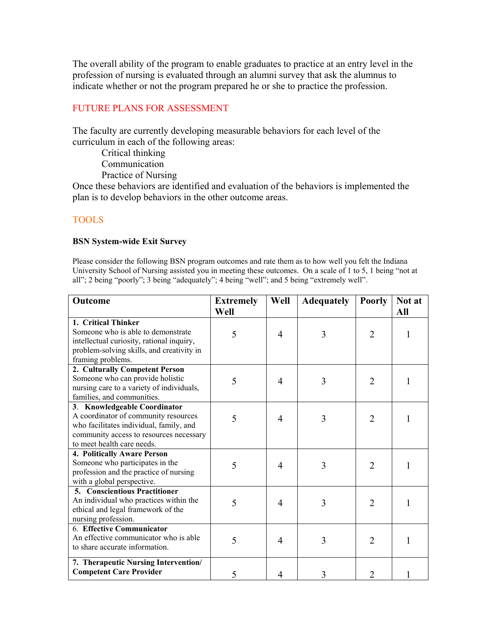The overall ability of the program to enable graduates to practice at an entry level in the profession of nursing is evaluated through an alumni survey that ask the alumnus to indicate whether or not the program prepared he or she to practice the profession.

## FUTURE PLANS FOR ASSESSMENT

The faculty are currently developing measurable behaviors for each level of the curriculum in each of the following areas:

Critical thinking

Communication

Practice of Nursing

Once these behaviors are identified and evaluation of the behaviors is implemented the plan is to develop behaviors in the other outcome areas.

### TOOLS

#### **BSN System-wide Exit Survey**

 University School of Nursing assisted you in meeting these outcomes. On a scale of 1 to 5, 1 being "not at Please consider the following BSN program outcomes and rate them as to how well you felt the Indiana all"; 2 being "poorly"; 3 being "adequately"; 4 being "well"; and 5 being "extremely well".

| Outcome                                   | <b>Extremely</b> | Well           | <b>Adequately</b> | <b>Poorly</b>               | Not at |
|-------------------------------------------|------------------|----------------|-------------------|-----------------------------|--------|
|                                           | Well             |                |                   |                             | All    |
| 1. Critical Thinker                       |                  |                |                   |                             |        |
| Someone who is able to demonstrate        | 5                | 4              | 3                 | $\overline{2}$              | 1      |
| intellectual curiosity, rational inquiry, |                  |                |                   |                             |        |
| problem-solving skills, and creativity in |                  |                |                   |                             |        |
| framing problems.                         |                  |                |                   |                             |        |
| 2. Culturally Competent Person            |                  |                |                   |                             |        |
| Someone who can provide holistic          | 5                | 4              | 3                 | $\overline{2}$              |        |
| nursing care to a variety of individuals, |                  |                |                   |                             |        |
| families, and communities.                |                  |                |                   |                             |        |
| 3. Knowledgeable Coordinator              |                  |                |                   |                             |        |
| A coordinator of community resources      | 5                | 4              | 3                 | $\mathcal{D}_{\mathcal{L}}$ |        |
| who facilitates individual, family, and   |                  |                |                   |                             |        |
| community access to resources necessary   |                  |                |                   |                             |        |
| to meet health care needs.                |                  |                |                   |                             |        |
| 4. Politically Aware Person               |                  |                |                   |                             |        |
| Someone who participates in the           | 5                | 4              | 3                 | $\overline{2}$              |        |
| profession and the practice of nursing    |                  |                |                   |                             |        |
| with a global perspective.                |                  |                |                   |                             |        |
| <b>5. Conscientious Practitioner</b>      |                  |                |                   |                             |        |
| An individual who practices within the    | 5                | $\overline{4}$ | 3                 | $\overline{2}$              |        |
| ethical and legal framework of the        |                  |                |                   |                             |        |
| nursing profession.                       |                  |                |                   |                             |        |
| 6. Effective Communicator                 |                  |                |                   |                             |        |
| An effective communicator who is able     | 5                | 4              | 3                 | 2                           |        |
| to share accurate information.            |                  |                |                   |                             |        |
| 7. Therapeutic Nursing Intervention/      |                  |                |                   |                             |        |
| <b>Competent Care Provider</b>            | 5                | 4              | 3                 | 2                           |        |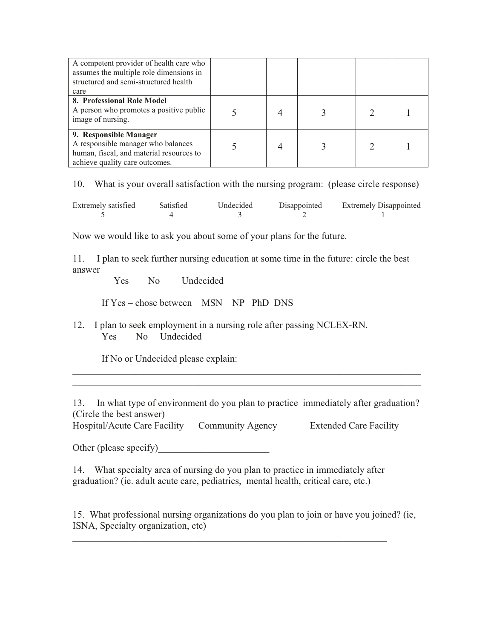| A competent provider of health care who<br>assumes the multiple role dimensions in<br>structured and semi-structured health<br>care        |  |  |  |
|--------------------------------------------------------------------------------------------------------------------------------------------|--|--|--|
|                                                                                                                                            |  |  |  |
| 8. Professional Role Model<br>A person who promotes a positive public<br>image of nursing.                                                 |  |  |  |
| 9. Responsible Manager<br>A responsible manager who balances<br>human, fiscal, and material resources to<br>achieve quality care outcomes. |  |  |  |

10. What is your overall satisfaction with the nursing program: (please circle response)

| Extremely satisfied | Satisfied | Undecided | Disappointed | <b>Extremely Disappointed</b> |
|---------------------|-----------|-----------|--------------|-------------------------------|
|                     |           |           |              |                               |

Now we would like to ask you about some of your plans for the future.

11. I plan to seek further nursing education at some time in the future: circle the best answer

Yes No Undecided

If  $Yes - chose between MSN NP PhD DNS$ 

12. I plan to seek employment in a nursing role after passing NCLEX-RN. Yes No Undecided

If No or Undecided please explain:

13. In what type of environment do you plan to practice immediately after graduation? (Circle the best answer)

BBBBBBBBBBBBBBBBBBBBBBBBBBBBBBBBBBBBBBBBBBBBBBBBBBBBBBBBBBBBBBBBBBBBBBBB

Hospital/Acute Care Facility Community Agency Extended Care Facility

Other (please specify)

14. What specialty area of nursing do you plan to practice in immediately after graduation? (ie. adult acute care, pediatrics, mental health, critical care, etc.)

BBBBBBBBBBBBBBBBBBBBBBBBBBBBBBBBBBBBBBBBBBBBBBBBBBBBBBBBBBBBBBBBB

15. What professional nursing organizations do you plan to join or have you joined? (ie, ISNA, Specialty organization, etc)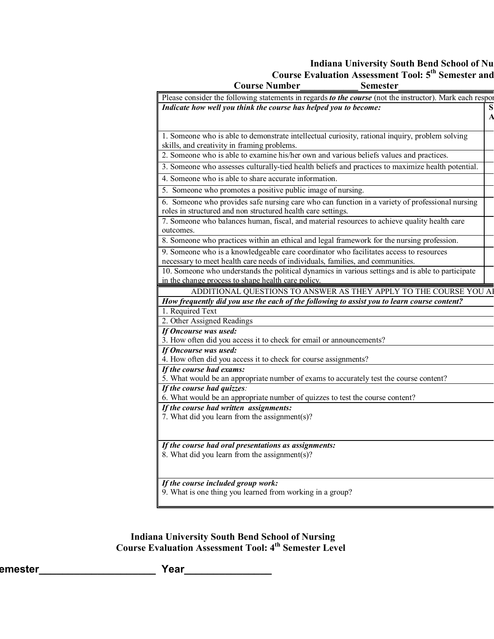# **Indiana University South Bend School of Nu Course Evaluation Assessment Tool: 5<sup>th</sup> Semester and**

| <b>Course Number</b>                                                                                        | <b>Semester</b> |
|-------------------------------------------------------------------------------------------------------------|-----------------|
| Please consider the following statements in regards to the course (not the instructor). Mark each responent |                 |
| Indicate how well you think the course has helped you to become:                                            |                 |
|                                                                                                             |                 |
| 1. Someone who is able to demonstrate intellectual curiosity, rational inquiry, problem solving             |                 |
| skills, and creativity in framing problems.                                                                 |                 |
| 2. Someone who is able to examine his/her own and various beliefs values and practices.                     |                 |
| 3. Someone who assesses culturally-tied health beliefs and practices to maximize health potential.          |                 |
| 4. Someone who is able to share accurate information.                                                       |                 |
| 5. Someone who promotes a positive public image of nursing.                                                 |                 |
| 6. Someone who provides safe nursing care who can function in a variety of professional nursing             |                 |
| roles in structured and non structured health care settings.                                                |                 |
| 7. Someone who balances human, fiscal, and material resources to achieve quality health care                |                 |
| outcomes.                                                                                                   |                 |
| 8. Someone who practices within an ethical and legal framework for the nursing profession.                  |                 |
| 9. Someone who is a knowledgeable care coordinator who facilitates access to resources                      |                 |
| necessary to meet health care needs of individuals, families, and communities.                              |                 |
| 10. Someone who understands the political dynamics in various settings and is able to participate           |                 |
| in the change process to shape health care policy.                                                          |                 |
| ADDITIONAL QUESTIONS TO ANSWER AS THEY APPLY TO THE COURSE YOU A                                            |                 |
| How frequently did you use the each of the following to assist you to learn course content?                 |                 |
| 1. Required Text<br>2. Other Assigned Readings                                                              |                 |
| If Oncourse was used:                                                                                       |                 |
| 3. How often did you access it to check for email or announcements?                                         |                 |
| If Oncourse was used:                                                                                       |                 |
| 4. How often did you access it to check for course assignments?                                             |                 |
| If the course had exams:                                                                                    |                 |
| 5. What would be an appropriate number of exams to accurately test the course content?                      |                 |
| If the course had quizzes:                                                                                  |                 |
| 6. What would be an appropriate number of quizzes to test the course content?                               |                 |
| If the course had written assignments:                                                                      |                 |
| 7. What did you learn from the assignment(s)?                                                               |                 |
|                                                                                                             |                 |
|                                                                                                             |                 |
|                                                                                                             |                 |
|                                                                                                             |                 |
|                                                                                                             |                 |
| If the course included group work:                                                                          |                 |
| 9. What is one thing you learned from working in a group?                                                   |                 |
|                                                                                                             |                 |
| If the course had oral presentations as assignments:<br>8. What did you learn from the assignment(s)?       |                 |

**Indiana University South Bend School of Nursing Course Evaluation Assessment Tool: 4th Semester Level** 

**emester\_\_\_\_\_\_\_\_\_\_\_\_\_\_\_\_\_\_\_\_ Year\_\_\_\_\_\_\_\_\_\_\_\_\_\_\_**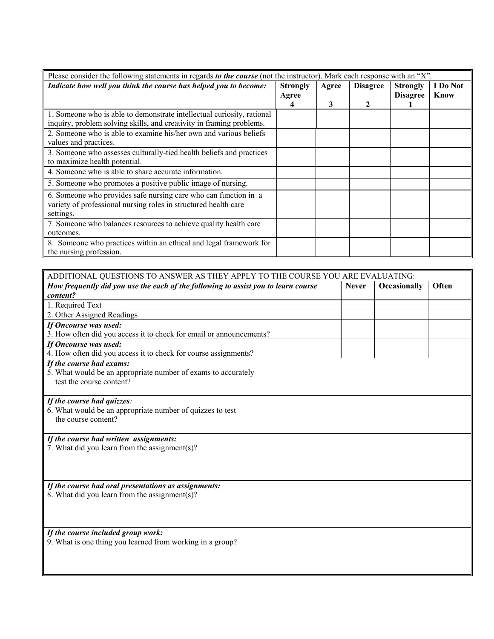| Please consider the following statements in regards to the course (not the instructor). Mark each response with an "X". |  |       |                 |                                    |                  |
|-------------------------------------------------------------------------------------------------------------------------|--|-------|-----------------|------------------------------------|------------------|
| Indicate how well you think the course has helped you to become:                                                        |  | Agree | <b>Disagree</b> | <b>Strongly</b><br><b>Disagree</b> | I Do Not<br>Know |
|                                                                                                                         |  | 3     |                 |                                    |                  |
| 1. Someone who is able to demonstrate intellectual curiosity, rational                                                  |  |       |                 |                                    |                  |
| inquiry, problem solving skills, and creativity in framing problems.                                                    |  |       |                 |                                    |                  |
| 2. Someone who is able to examine his/her own and various beliefs                                                       |  |       |                 |                                    |                  |
| values and practices.                                                                                                   |  |       |                 |                                    |                  |
| 3. Someone who assesses culturally-tied health beliefs and practices                                                    |  |       |                 |                                    |                  |
| to maximize health potential.                                                                                           |  |       |                 |                                    |                  |
| 4. Someone who is able to share accurate information.                                                                   |  |       |                 |                                    |                  |
| 5. Someone who promotes a positive public image of nursing.                                                             |  |       |                 |                                    |                  |
| 6. Someone who provides safe nursing care who can function in a                                                         |  |       |                 |                                    |                  |
| variety of professional nursing roles in structured health care                                                         |  |       |                 |                                    |                  |
| settings.                                                                                                               |  |       |                 |                                    |                  |
| 7. Someone who balances resources to achieve quality health care                                                        |  |       |                 |                                    |                  |
| outcomes.                                                                                                               |  |       |                 |                                    |                  |
| 8. Someone who practices within an ethical and legal framework for                                                      |  |       |                 |                                    |                  |
| the nursing profession.                                                                                                 |  |       |                 |                                    |                  |

| ADDITIONAL QUESTIONS TO ANSWER AS THEY APPLY TO THE COURSE YOU ARE EVALUATING:          |              |              |       |  |  |
|-----------------------------------------------------------------------------------------|--------------|--------------|-------|--|--|
| How frequently did you use the each of the following to assist you to learn course      | <b>Never</b> | Occasionally | Often |  |  |
| content?                                                                                |              |              |       |  |  |
| 1. Required Text                                                                        |              |              |       |  |  |
| 2. Other Assigned Readings                                                              |              |              |       |  |  |
| If Oncourse was used:                                                                   |              |              |       |  |  |
| 3. How often did you access it to check for email or announcements?                     |              |              |       |  |  |
| If Oncourse was used:                                                                   |              |              |       |  |  |
| 4. How often did you access it to check for course assignments?                         |              |              |       |  |  |
| If the course had exams:                                                                |              |              |       |  |  |
| 5. What would be an appropriate number of exams to accurately                           |              |              |       |  |  |
| test the course content?                                                                |              |              |       |  |  |
|                                                                                         |              |              |       |  |  |
| If the course had quizzes:                                                              |              |              |       |  |  |
| 6. What would be an appropriate number of quizzes to test                               |              |              |       |  |  |
| the course content?                                                                     |              |              |       |  |  |
|                                                                                         |              |              |       |  |  |
| If the course had written assignments:<br>7. What did you learn from the assignment(s)? |              |              |       |  |  |
|                                                                                         |              |              |       |  |  |
|                                                                                         |              |              |       |  |  |
|                                                                                         |              |              |       |  |  |
| If the course had oral presentations as assignments:                                    |              |              |       |  |  |
| 8. What did you learn from the assignment(s)?                                           |              |              |       |  |  |
|                                                                                         |              |              |       |  |  |
|                                                                                         |              |              |       |  |  |
|                                                                                         |              |              |       |  |  |
| If the course included group work:                                                      |              |              |       |  |  |
| 9. What is one thing you learned from working in a group?                               |              |              |       |  |  |
|                                                                                         |              |              |       |  |  |
|                                                                                         |              |              |       |  |  |
|                                                                                         |              |              |       |  |  |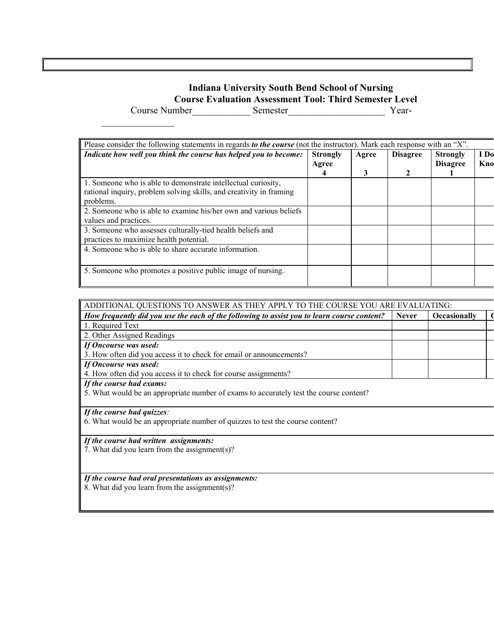#### **Indiana University South Bend School of Nursing Course Evaluation Assessment Tool: Third Semester Level**

Course Number **Semester** Semester **Semester** 

 1. Someone who is able to demonstrate intellectual curiosity, rational inquiry, problem solving skills, and creativity in framing 3. Someone who assesses culturally-tied health beliefs and 5. Someone who promotes a positive public image of nursing. Please consider the following statements in regards *to the course* (not the instructor). Mark each response with an "X". *Indicate how well you think the course has helped you to become:* Strongly **Agree 4 Agree 3 Disagree 2 Strongly Disagree 1 I Do Kno**  problems. 2. Someone who is able to examine his/her own and various beliefs values and practices. practices to maximize health potential. 4. Someone who is able to share accurate information.

| ADDITIONAL QUESTIONS TO ANSWER AS THEY APPLY TO THE COURSE YOU ARE EVALUATING:              |              |                     |  |
|---------------------------------------------------------------------------------------------|--------------|---------------------|--|
| How frequently did you use the each of the following to assist you to learn course content? | <b>Never</b> | <b>Occasionally</b> |  |
| 1. Required Text                                                                            |              |                     |  |
| 2. Other Assigned Readings                                                                  |              |                     |  |
| If Oncourse was used:                                                                       |              |                     |  |
| 3. How often did you access it to check for email or announcements?                         |              |                     |  |
| If Oncourse was used:                                                                       |              |                     |  |
| 4. How often did you access it to check for course assignments?                             |              |                     |  |
| If the course had exams:                                                                    |              |                     |  |

5. What would be an appropriate number of exams to accurately test the course content?

*If the course had quizzes:* 

 $\frac{1}{2}$  ,  $\frac{1}{2}$  ,  $\frac{1}{2}$  ,  $\frac{1}{2}$  ,  $\frac{1}{2}$  ,  $\frac{1}{2}$  ,  $\frac{1}{2}$ 

6. What would be an appropriate number of quizzes to test the course content?

*If the course had written assignments:* 

7. What did you learn from the assignment(s)?

*If the course had oral presentations as assignments:*  8. What did you learn from the assignment(s)?